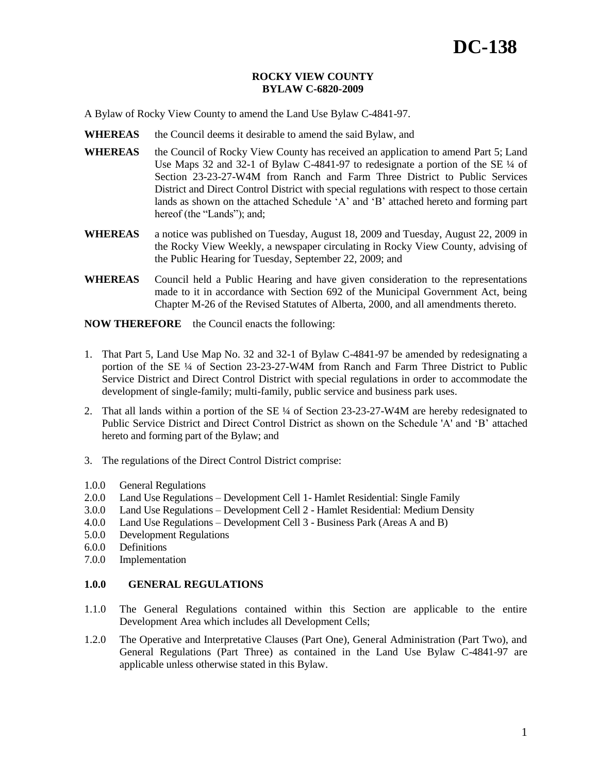## **ROCKY VIEW COUNTY BYLAW C-6820-2009**

A Bylaw of Rocky View County to amend the Land Use Bylaw C-4841-97.

- **WHEREAS** the Council deems it desirable to amend the said Bylaw, and
- **WHEREAS** the Council of Rocky View County has received an application to amend Part 5; Land Use Maps 32 and 32-1 of Bylaw C-4841-97 to redesignate a portion of the SE ¼ of Section 23-23-27-W4M from Ranch and Farm Three District to Public Services District and Direct Control District with special regulations with respect to those certain lands as shown on the attached Schedule "A" and "B" attached hereto and forming part hereof (the "Lands"); and;
- **WHEREAS** a notice was published on Tuesday, August 18, 2009 and Tuesday, August 22, 2009 in the Rocky View Weekly, a newspaper circulating in Rocky View County, advising of the Public Hearing for Tuesday, September 22, 2009; and
- **WHEREAS** Council held a Public Hearing and have given consideration to the representations made to it in accordance with Section 692 of the Municipal Government Act, being Chapter M-26 of the Revised Statutes of Alberta, 2000, and all amendments thereto.

**NOW THEREFORE** the Council enacts the following:

- 1. That Part 5, Land Use Map No. 32 and 32-1 of Bylaw C-4841-97 be amended by redesignating a portion of the SE ¼ of Section 23-23-27-W4M from Ranch and Farm Three District to Public Service District and Direct Control District with special regulations in order to accommodate the development of single-family; multi-family, public service and business park uses.
- 2. That all lands within a portion of the SE ¼ of Section 23-23-27-W4M are hereby redesignated to Public Service District and Direct Control District as shown on the Schedule 'A' and "B" attached hereto and forming part of the Bylaw; and
- 3. The regulations of the Direct Control District comprise:
- 1.0.0 General Regulations
- 2.0.0 Land Use Regulations Development Cell 1- Hamlet Residential: Single Family
- 3.0.0 Land Use Regulations Development Cell 2 Hamlet Residential: Medium Density
- 4.0.0 Land Use Regulations Development Cell 3 Business Park (Areas A and B)
- 5.0.0 Development Regulations
- 6.0.0 Definitions
- 7.0.0 Implementation

## **1.0.0 GENERAL REGULATIONS**

- 1.1.0 The General Regulations contained within this Section are applicable to the entire Development Area which includes all Development Cells;
- 1.2.0 The Operative and Interpretative Clauses (Part One), General Administration (Part Two), and General Regulations (Part Three) as contained in the Land Use Bylaw C-4841-97 are applicable unless otherwise stated in this Bylaw.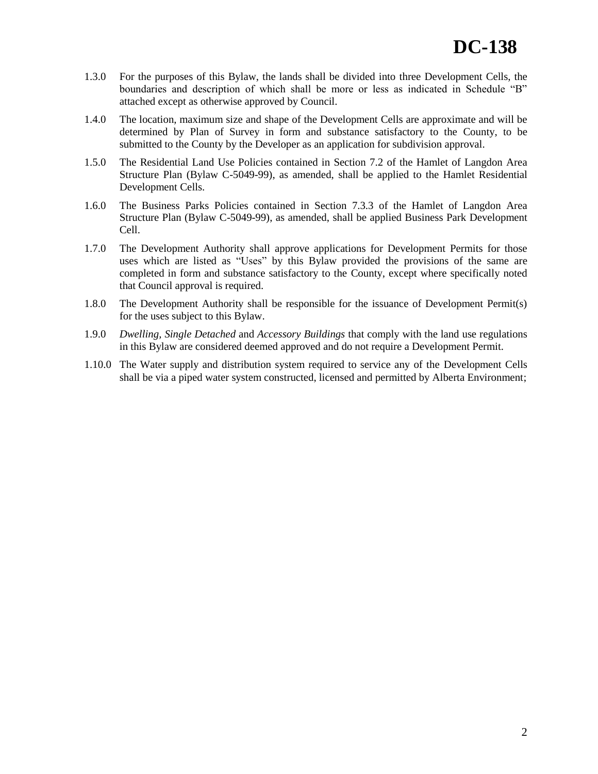- 1.3.0 For the purposes of this Bylaw, the lands shall be divided into three Development Cells, the boundaries and description of which shall be more or less as indicated in Schedule "B" attached except as otherwise approved by Council.
- 1.4.0 The location, maximum size and shape of the Development Cells are approximate and will be determined by Plan of Survey in form and substance satisfactory to the County, to be submitted to the County by the Developer as an application for subdivision approval.
- 1.5.0 The Residential Land Use Policies contained in Section 7.2 of the Hamlet of Langdon Area Structure Plan (Bylaw C-5049-99), as amended, shall be applied to the Hamlet Residential Development Cells.
- 1.6.0 The Business Parks Policies contained in Section 7.3.3 of the Hamlet of Langdon Area Structure Plan (Bylaw C-5049-99), as amended, shall be applied Business Park Development Cell.
- 1.7.0 The Development Authority shall approve applications for Development Permits for those uses which are listed as "Uses" by this Bylaw provided the provisions of the same are completed in form and substance satisfactory to the County, except where specifically noted that Council approval is required.
- 1.8.0 The Development Authority shall be responsible for the issuance of Development Permit(s) for the uses subject to this Bylaw.
- 1.9.0 *Dwelling, Single Detached* and *Accessory Buildings* that comply with the land use regulations in this Bylaw are considered deemed approved and do not require a Development Permit.
- 1.10.0 The Water supply and distribution system required to service any of the Development Cells shall be via a piped water system constructed, licensed and permitted by Alberta Environment;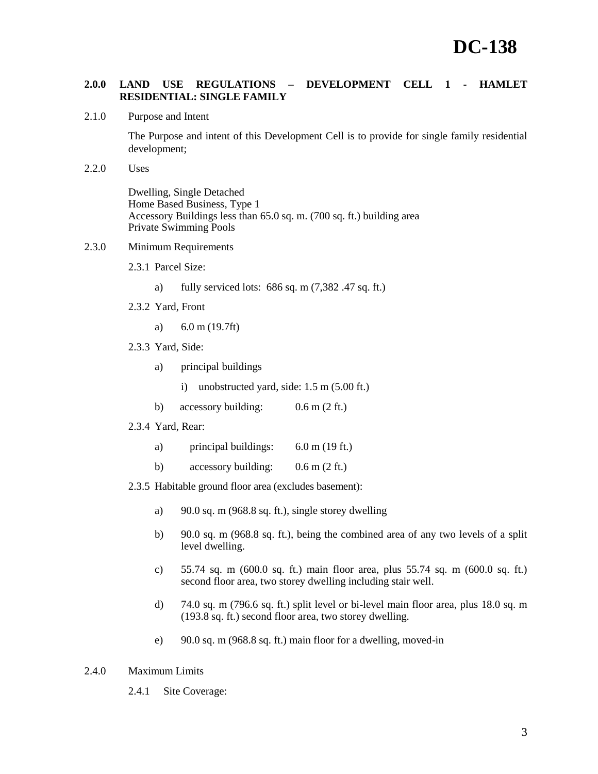# **2.0.0 LAND USE REGULATIONS – DEVELOPMENT CELL 1 - HAMLET RESIDENTIAL: SINGLE FAMILY**

2.1.0 Purpose and Intent

The Purpose and intent of this Development Cell is to provide for single family residential development;

2.2.0 Uses

Dwelling, Single Detached Home Based Business, Type 1 Accessory Buildings less than 65.0 sq. m. (700 sq. ft.) building area Private Swimming Pools

# 2.3.0 Minimum Requirements

- 2.3.1 Parcel Size:
	- a) fully serviced lots: 686 sq. m (7,382 .47 sq. ft.)
- 2.3.2 Yard, Front
	- a) 6.0 m (19.7ft)
- 2.3.3 Yard, Side:
	- a) principal buildings
		- i) unobstructed yard, side: 1.5 m (5.00 ft.)
	- b) accessory building: 0.6 m (2 ft.)
- 2.3.4 Yard, Rear:
	- a) principal buildings: 6.0 m (19 ft.)
	- b) accessory building:  $0.6 \text{ m} (2 \text{ ft.})$
- 2.3.5 Habitable ground floor area (excludes basement):
	- a) 90.0 sq. m (968.8 sq. ft.), single storey dwelling
	- b) 90.0 sq. m (968.8 sq. ft.), being the combined area of any two levels of a split level dwelling.
	- c) 55.74 sq. m (600.0 sq. ft.) main floor area, plus 55.74 sq. m (600.0 sq. ft.) second floor area, two storey dwelling including stair well.
	- d) 74.0 sq. m (796.6 sq. ft.) split level or bi-level main floor area, plus 18.0 sq. m (193.8 sq. ft.) second floor area, two storey dwelling.
	- e) 90.0 sq. m (968.8 sq. ft.) main floor for a dwelling, moved-in

## 2.4.0 Maximum Limits

2.4.1 Site Coverage: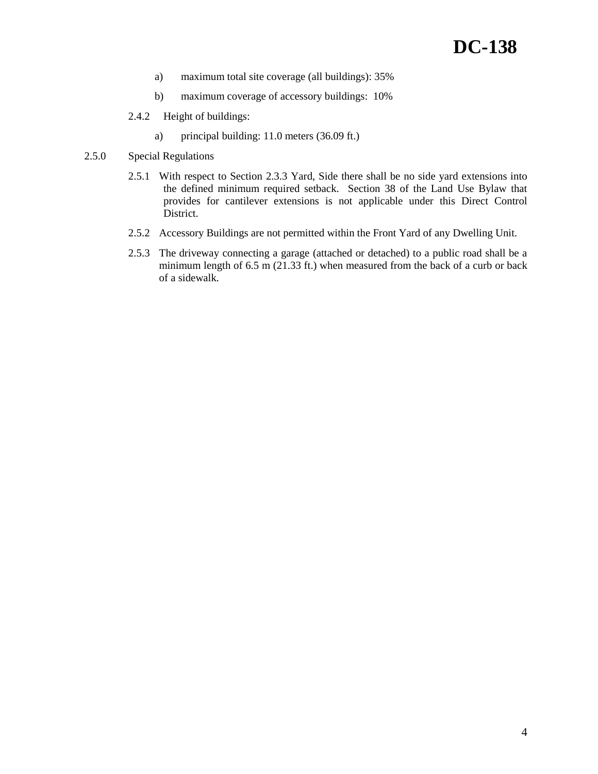- a) maximum total site coverage (all buildings): 35%
- b) maximum coverage of accessory buildings: 10%
- 2.4.2 Height of buildings:
	- a) principal building: 11.0 meters (36.09 ft.)
- 2.5.0 Special Regulations
	- 2.5.1 With respect to Section 2.3.3 Yard, Side there shall be no side yard extensions into the defined minimum required setback. Section 38 of the Land Use Bylaw that provides for cantilever extensions is not applicable under this Direct Control District.
	- 2.5.2 Accessory Buildings are not permitted within the Front Yard of any Dwelling Unit.
	- 2.5.3 The driveway connecting a garage (attached or detached) to a public road shall be a minimum length of 6.5 m (21.33 ft.) when measured from the back of a curb or back of a sidewalk.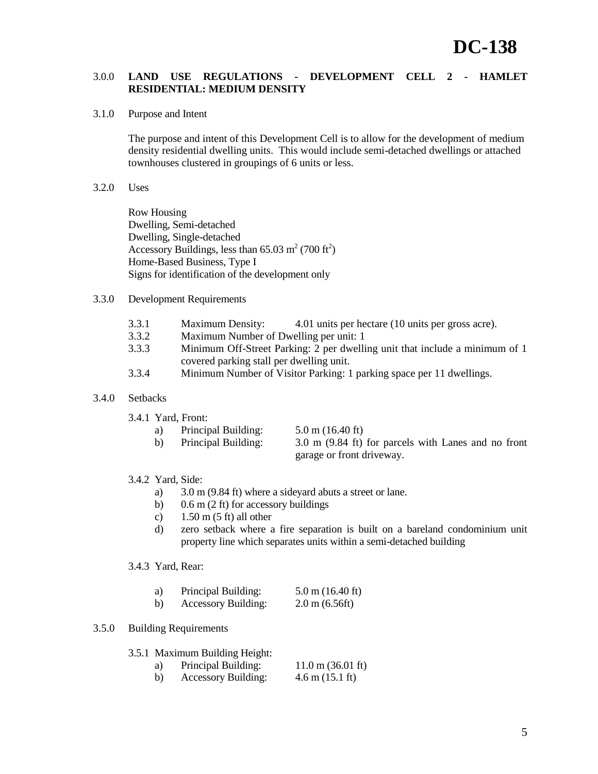## 3.0.0 **LAND USE REGULATIONS - DEVELOPMENT CELL 2 - HAMLET RESIDENTIAL: MEDIUM DENSITY**

3.1.0 Purpose and Intent

The purpose and intent of this Development Cell is to allow for the development of medium density residential dwelling units. This would include semi-detached dwellings or attached townhouses clustered in groupings of 6 units or less.

3.2.0 Uses

Row Housing Dwelling, Semi-detached Dwelling, Single-detached Accessory Buildings, less than  $65.03 \text{ m}^2$  (700 ft<sup>2</sup>) Home-Based Business, Type I Signs for identification of the development only

#### 3.3.0 Development Requirements

- 3.3.1 Maximum Density: 4.01 units per hectare (10 units per gross acre).
- 3.3.2 Maximum Number of Dwelling per unit: 1
- 3.3.3 Minimum Off-Street Parking: 2 per dwelling unit that include a minimum of 1 covered parking stall per dwelling unit.
- 3.3.4 Minimum Number of Visitor Parking: 1 parking space per 11 dwellings.

## 3.4.0 Setbacks

3.4.1 Yard, Front:

| a) | Principal Building: | $5.0 \text{ m}$ (16.40 ft)                          |
|----|---------------------|-----------------------------------------------------|
| b) | Principal Building: | 3.0 m (9.84 ft) for parcels with Lanes and no front |

garage or front driveway.

# 3.4.2 Yard, Side:

- a) 3.0 m (9.84 ft) where a sideyard abuts a street or lane.
- b) 0.6 m (2 ft) for accessory buildings
- c)  $1.50 \text{ m} (5 \text{ ft})$  all other
- d) zero setback where a fire separation is built on a bareland condominium unit property line which separates units within a semi-detached building

## 3.4.3 Yard, Rear:

| a) | Principal Building:        | $5.0 \text{ m}$ (16.40 ft)       |
|----|----------------------------|----------------------------------|
| b) | <b>Accessory Building:</b> | $2.0 \text{ m} (6.56 \text{ft})$ |

#### 3.5.0 Building Requirements

3.5.1 Maximum Building Height:

- a) Principal Building:  $11.0 \text{ m} (36.01 \text{ ft})$
- b) Accessory Building: 4.6 m (15.1 ft)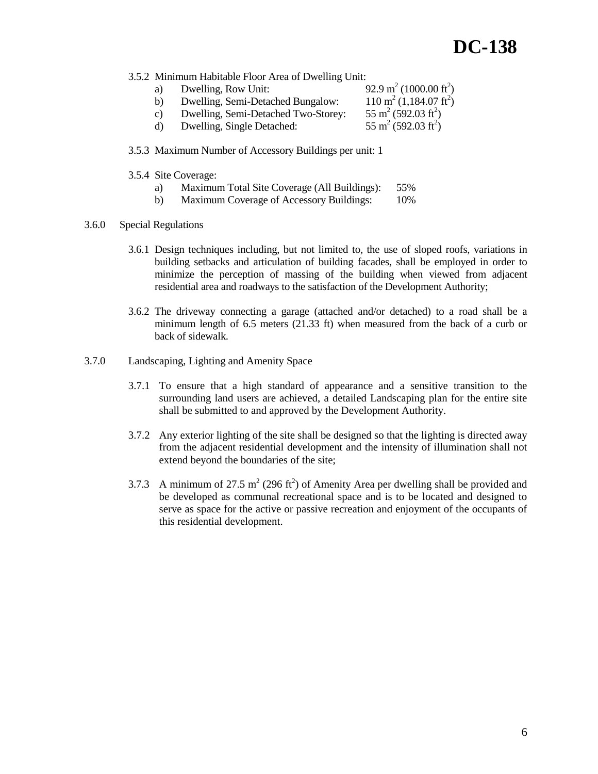3.5.2 Minimum Habitable Floor Area of Dwelling Unit:

| a) | Dwelling, Row Unit:                 | 92.9 m <sup>2</sup> (1000.00 ft <sup>2</sup> ) |
|----|-------------------------------------|------------------------------------------------|
| b) | Dwelling, Semi-Detached Bungalow:   | $110 \text{ m}^2 (1,184.07 \text{ ft}^2)$      |
| C) | Dwelling, Semi-Detached Two-Storey: | $55 \text{ m}^2 (592.03 \text{ ft}^2)$         |
| d) | Dwelling, Single Detached:          | $55 \text{ m}^2 (592.03 \text{ ft}^2)$         |

- 3.5.3 Maximum Number of Accessory Buildings per unit: 1
- 3.5.4 Site Coverage:
	- a) Maximum Total Site Coverage (All Buildings): 55%
	- b) Maximum Coverage of Accessory Buildings: 10%

## 3.6.0 Special Regulations

- 3.6.1 Design techniques including, but not limited to, the use of sloped roofs, variations in building setbacks and articulation of building facades, shall be employed in order to minimize the perception of massing of the building when viewed from adjacent residential area and roadways to the satisfaction of the Development Authority;
- 3.6.2 The driveway connecting a garage (attached and/or detached) to a road shall be a minimum length of  $6.5$  meters  $(21.33 \text{ ft})$  when measured from the back of a curb or back of sidewalk.
- 3.7.0 Landscaping, Lighting and Amenity Space
	- 3.7.1 To ensure that a high standard of appearance and a sensitive transition to the surrounding land users are achieved, a detailed Landscaping plan for the entire site shall be submitted to and approved by the Development Authority.
	- 3.7.2 Any exterior lighting of the site shall be designed so that the lighting is directed away from the adjacent residential development and the intensity of illumination shall not extend beyond the boundaries of the site;
	- 3.7.3 A minimum of 27.5 m<sup>2</sup> (296 ft<sup>2</sup>) of Amenity Area per dwelling shall be provided and be developed as communal recreational space and is to be located and designed to serve as space for the active or passive recreation and enjoyment of the occupants of this residential development.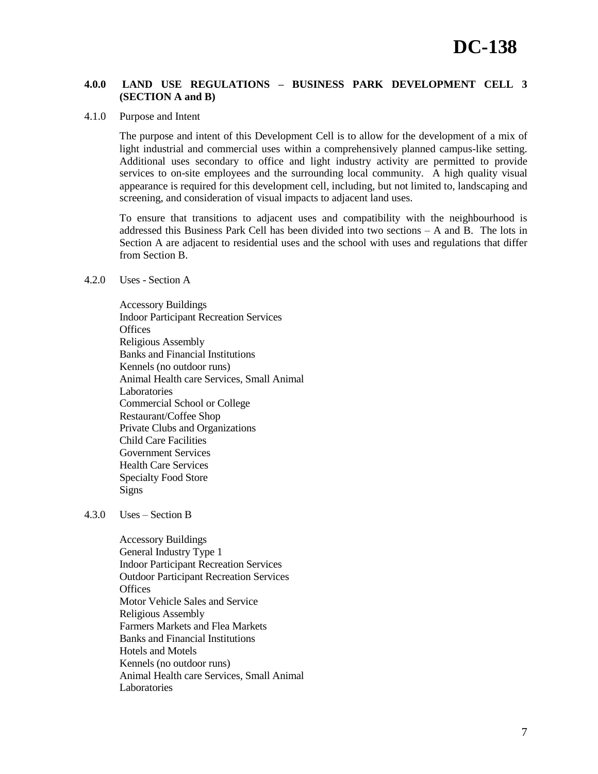# **4.0.0 LAND USE REGULATIONS – BUSINESS PARK DEVELOPMENT CELL 3 (SECTION A and B)**

#### 4.1.0 Purpose and Intent

The purpose and intent of this Development Cell is to allow for the development of a mix of light industrial and commercial uses within a comprehensively planned campus-like setting. Additional uses secondary to office and light industry activity are permitted to provide services to on-site employees and the surrounding local community. A high quality visual appearance is required for this development cell, including, but not limited to, landscaping and screening, and consideration of visual impacts to adjacent land uses.

To ensure that transitions to adjacent uses and compatibility with the neighbourhood is addressed this Business Park Cell has been divided into two sections – A and B. The lots in Section A are adjacent to residential uses and the school with uses and regulations that differ from Section B.

## 4.2.0 Uses - Section A

Accessory Buildings Indoor Participant Recreation Services **Offices** Religious Assembly Banks and Financial Institutions Kennels (no outdoor runs) Animal Health care Services, Small Animal Laboratories Commercial School or College Restaurant/Coffee Shop Private Clubs and Organizations Child Care Facilities Government Services Health Care Services Specialty Food Store Signs

#### 4.3.0 Uses – Section B

Accessory Buildings General Industry Type 1 Indoor Participant Recreation Services Outdoor Participant Recreation Services **Offices** Motor Vehicle Sales and Service Religious Assembly Farmers Markets and Flea Markets Banks and Financial Institutions Hotels and Motels Kennels (no outdoor runs) Animal Health care Services, Small Animal Laboratories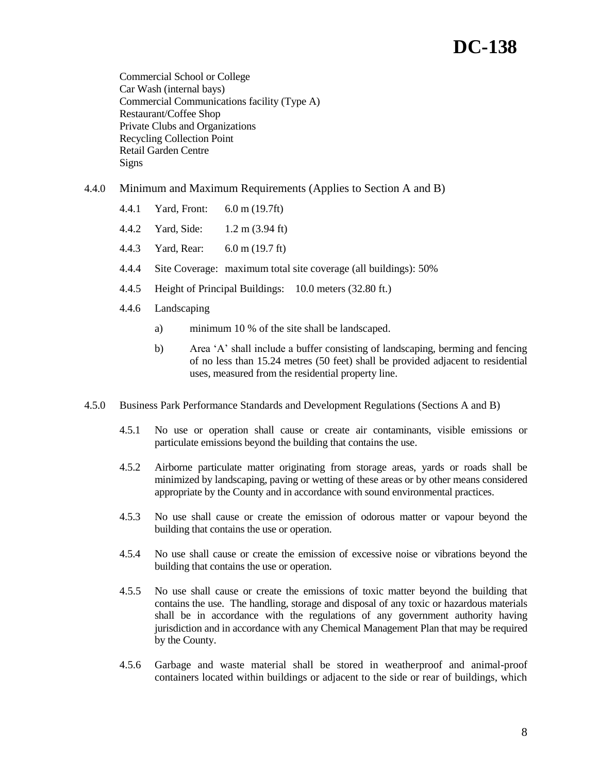# **DC-138**

Commercial School or College Car Wash (internal bays) Commercial Communications facility (Type A) Restaurant/Coffee Shop Private Clubs and Organizations Recycling Collection Point Retail Garden Centre Signs

# 4.4.0 Minimum and Maximum Requirements (Applies to Section A and B)

- 4.4.1 Yard, Front: 6.0 m (19.7ft)
- 4.4.2 Yard, Side: 1.2 m (3.94 ft)
- 4.4.3 Yard, Rear: 6.0 m (19.7 ft)
- 4.4.4 Site Coverage: maximum total site coverage (all buildings): 50%
- 4.4.5 Height of Principal Buildings: 10.0 meters (32.80 ft.)
- 4.4.6 Landscaping
	- a) minimum 10 % of the site shall be landscaped.
	- b) Area "A" shall include a buffer consisting of landscaping, berming and fencing of no less than 15.24 metres (50 feet) shall be provided adjacent to residential uses, measured from the residential property line.
- 4.5.0 Business Park Performance Standards and Development Regulations (Sections A and B)
	- 4.5.1 No use or operation shall cause or create air contaminants, visible emissions or particulate emissions beyond the building that contains the use.
	- 4.5.2 Airborne particulate matter originating from storage areas, yards or roads shall be minimized by landscaping, paving or wetting of these areas or by other means considered appropriate by the County and in accordance with sound environmental practices.
	- 4.5.3 No use shall cause or create the emission of odorous matter or vapour beyond the building that contains the use or operation.
	- 4.5.4 No use shall cause or create the emission of excessive noise or vibrations beyond the building that contains the use or operation.
	- 4.5.5 No use shall cause or create the emissions of toxic matter beyond the building that contains the use. The handling, storage and disposal of any toxic or hazardous materials shall be in accordance with the regulations of any government authority having jurisdiction and in accordance with any Chemical Management Plan that may be required by the County.
	- 4.5.6 Garbage and waste material shall be stored in weatherproof and animal-proof containers located within buildings or adjacent to the side or rear of buildings, which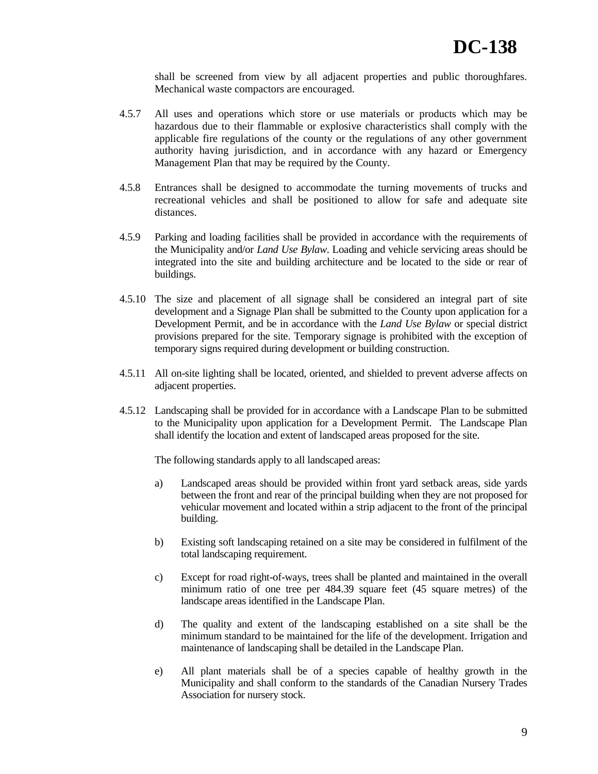shall be screened from view by all adjacent properties and public thoroughfares. Mechanical waste compactors are encouraged.

- 4.5.7 All uses and operations which store or use materials or products which may be hazardous due to their flammable or explosive characteristics shall comply with the applicable fire regulations of the county or the regulations of any other government authority having jurisdiction, and in accordance with any hazard or Emergency Management Plan that may be required by the County.
- 4.5.8 Entrances shall be designed to accommodate the turning movements of trucks and recreational vehicles and shall be positioned to allow for safe and adequate site distances.
- 4.5.9 Parking and loading facilities shall be provided in accordance with the requirements of the Municipality and/or *Land Use Bylaw*. Loading and vehicle servicing areas should be integrated into the site and building architecture and be located to the side or rear of buildings.
- 4.5.10 The size and placement of all signage shall be considered an integral part of site development and a Signage Plan shall be submitted to the County upon application for a Development Permit, and be in accordance with the *Land Use Bylaw* or special district provisions prepared for the site. Temporary signage is prohibited with the exception of temporary signs required during development or building construction.
- 4.5.11 All on-site lighting shall be located, oriented, and shielded to prevent adverse affects on adjacent properties.
- 4.5.12 Landscaping shall be provided for in accordance with a Landscape Plan to be submitted to the Municipality upon application for a Development Permit. The Landscape Plan shall identify the location and extent of landscaped areas proposed for the site.

The following standards apply to all landscaped areas:

- a) Landscaped areas should be provided within front yard setback areas, side yards between the front and rear of the principal building when they are not proposed for vehicular movement and located within a strip adjacent to the front of the principal building.
- b) Existing soft landscaping retained on a site may be considered in fulfilment of the total landscaping requirement.
- c) Except for road right-of-ways, trees shall be planted and maintained in the overall minimum ratio of one tree per 484.39 square feet (45 square metres) of the landscape areas identified in the Landscape Plan.
- d) The quality and extent of the landscaping established on a site shall be the minimum standard to be maintained for the life of the development. Irrigation and maintenance of landscaping shall be detailed in the Landscape Plan.
- e) All plant materials shall be of a species capable of healthy growth in the Municipality and shall conform to the standards of the Canadian Nursery Trades Association for nursery stock.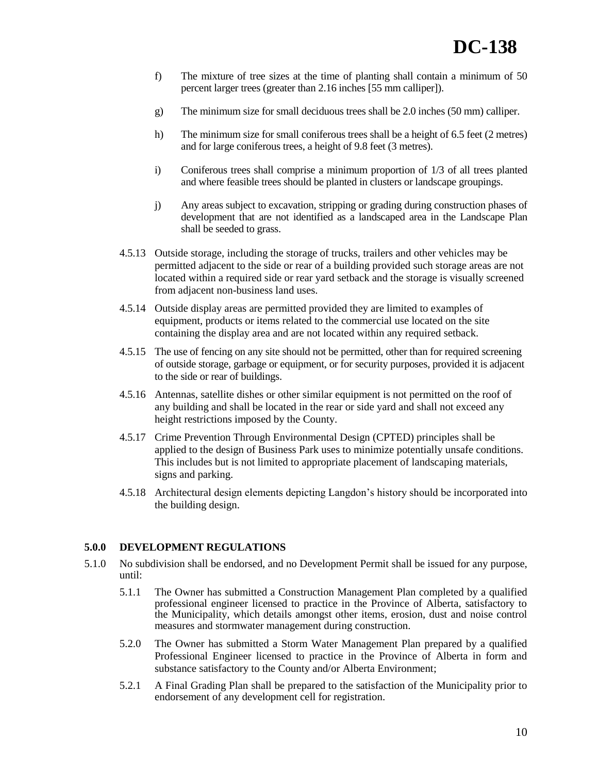- f) The mixture of tree sizes at the time of planting shall contain a minimum of 50 percent larger trees (greater than 2.16 inches [55 mm calliper]).
- g) The minimum size for small deciduous trees shall be 2.0 inches (50 mm) calliper.
- h) The minimum size for small coniferous trees shall be a height of 6.5 feet (2 metres) and for large coniferous trees, a height of 9.8 feet (3 metres).
- i) Coniferous trees shall comprise a minimum proportion of 1/3 of all trees planted and where feasible trees should be planted in clusters or landscape groupings.
- j) Any areas subject to excavation, stripping or grading during construction phases of development that are not identified as a landscaped area in the Landscape Plan shall be seeded to grass.
- 4.5.13 Outside storage, including the storage of trucks, trailers and other vehicles may be permitted adjacent to the side or rear of a building provided such storage areas are not located within a required side or rear yard setback and the storage is visually screened from adjacent non-business land uses.
- 4.5.14 Outside display areas are permitted provided they are limited to examples of equipment, products or items related to the commercial use located on the site containing the display area and are not located within any required setback.
- 4.5.15 The use of fencing on any site should not be permitted, other than for required screening of outside storage, garbage or equipment, or for security purposes, provided it is adjacent to the side or rear of buildings.
- 4.5.16 Antennas, satellite dishes or other similar equipment is not permitted on the roof of any building and shall be located in the rear or side yard and shall not exceed any height restrictions imposed by the County.
- 4.5.17 Crime Prevention Through Environmental Design (CPTED) principles shall be applied to the design of Business Park uses to minimize potentially unsafe conditions. This includes but is not limited to appropriate placement of landscaping materials, signs and parking.
- 4.5.18 Architectural design elements depicting Langdon"s history should be incorporated into the building design.

## **5.0.0 DEVELOPMENT REGULATIONS**

- 5.1.0 No subdivision shall be endorsed, and no Development Permit shall be issued for any purpose, until:
	- 5.1.1 The Owner has submitted a Construction Management Plan completed by a qualified professional engineer licensed to practice in the Province of Alberta, satisfactory to the Municipality, which details amongst other items, erosion, dust and noise control measures and stormwater management during construction.
	- 5.2.0 The Owner has submitted a Storm Water Management Plan prepared by a qualified Professional Engineer licensed to practice in the Province of Alberta in form and substance satisfactory to the County and/or Alberta Environment;
	- 5.2.1 A Final Grading Plan shall be prepared to the satisfaction of the Municipality prior to endorsement of any development cell for registration.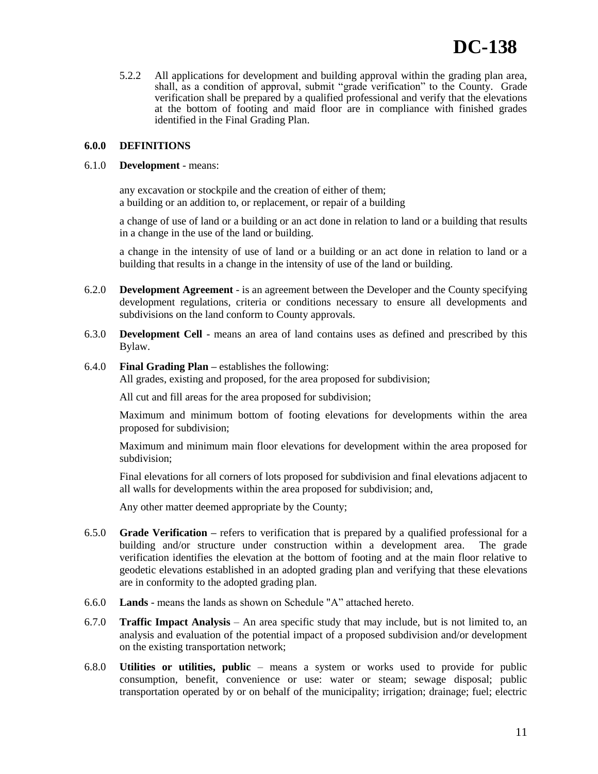5.2.2 All applications for development and building approval within the grading plan area, shall, as a condition of approval, submit "grade verification" to the County. Grade verification shall be prepared by a qualified professional and verify that the elevations at the bottom of footing and maid floor are in compliance with finished grades identified in the Final Grading Plan.

## **6.0.0 DEFINITIONS**

## 6.1.0 **Development** - means:

any excavation or stockpile and the creation of either of them; a building or an addition to, or replacement, or repair of a building

a change of use of land or a building or an act done in relation to land or a building that results in a change in the use of the land or building.

a change in the intensity of use of land or a building or an act done in relation to land or a building that results in a change in the intensity of use of the land or building.

- 6.2.0 **Development Agreement** is an agreement between the Developer and the County specifying development regulations, criteria or conditions necessary to ensure all developments and subdivisions on the land conform to County approvals.
- 6.3.0 **Development Cell** means an area of land contains uses as defined and prescribed by this Bylaw.

## 6.4.0 **Final Grading Plan –** establishes the following:

All grades, existing and proposed, for the area proposed for subdivision;

All cut and fill areas for the area proposed for subdivision;

Maximum and minimum bottom of footing elevations for developments within the area proposed for subdivision;

Maximum and minimum main floor elevations for development within the area proposed for subdivision;

Final elevations for all corners of lots proposed for subdivision and final elevations adjacent to all walls for developments within the area proposed for subdivision; and,

Any other matter deemed appropriate by the County;

- 6.5.0 **Grade Verification –** refers to verification that is prepared by a qualified professional for a building and/or structure under construction within a development area. The grade verification identifies the elevation at the bottom of footing and at the main floor relative to geodetic elevations established in an adopted grading plan and verifying that these elevations are in conformity to the adopted grading plan.
- 6.6.0 **Lands** means the lands as shown on Schedule "A" attached hereto.
- 6.7.0 **Traffic Impact Analysis**  An area specific study that may include, but is not limited to, an analysis and evaluation of the potential impact of a proposed subdivision and/or development on the existing transportation network;
- 6.8.0 **Utilities or utilities, public**  means a system or works used to provide for public consumption, benefit, convenience or use: water or steam; sewage disposal; public transportation operated by or on behalf of the municipality; irrigation; drainage; fuel; electric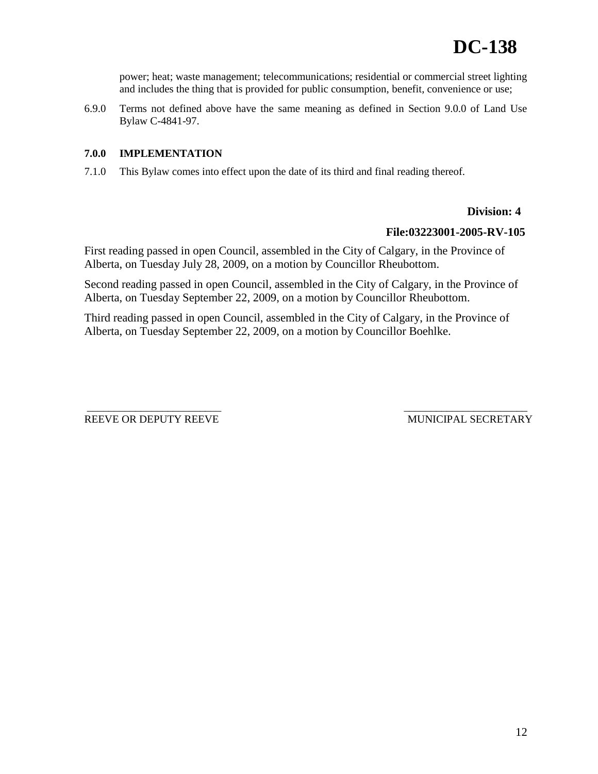power; heat; waste management; telecommunications; residential or commercial street lighting and includes the thing that is provided for public consumption, benefit, convenience or use;

6.9.0 Terms not defined above have the same meaning as defined in Section 9.0.0 of Land Use Bylaw C-4841-97.

# **7.0.0 IMPLEMENTATION**

7.1.0 This Bylaw comes into effect upon the date of its third and final reading thereof.

# **Division: 4**

# **File:03223001-2005-RV-105**

First reading passed in open Council, assembled in the City of Calgary, in the Province of Alberta, on Tuesday July 28, 2009, on a motion by Councillor Rheubottom.

Second reading passed in open Council, assembled in the City of Calgary, in the Province of Alberta, on Tuesday September 22, 2009, on a motion by Councillor Rheubottom.

Third reading passed in open Council, assembled in the City of Calgary, in the Province of Alberta, on Tuesday September 22, 2009, on a motion by Councillor Boehlke.

REEVE OR DEPUTY REEVE MUNICIPAL SECRETARY

\_\_\_\_\_\_\_\_\_\_\_\_\_\_\_\_\_\_\_\_\_\_\_\_\_ \_\_\_\_\_\_\_\_\_\_\_\_\_\_\_\_\_\_\_\_\_\_\_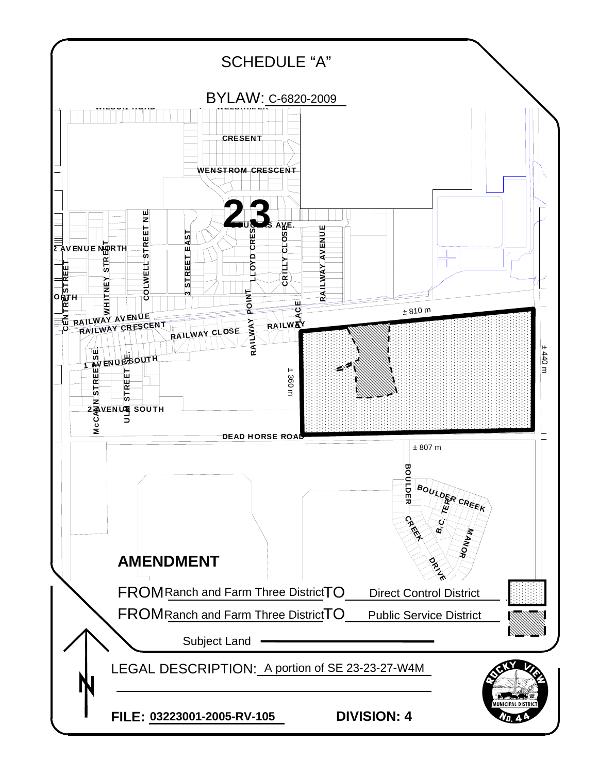